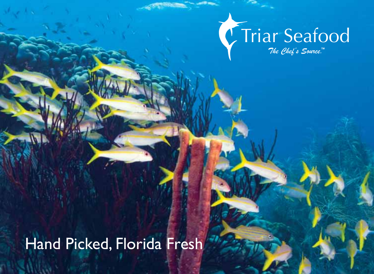# Triar Seafood

 $7$ *he Chef's Source*."

Hand Picked, Florida Fresh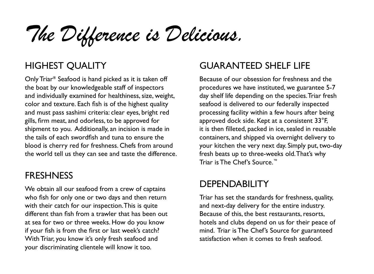*The Difference is Delicious.*

#### HIGHEST QUALITY

Only Triar**®** Seafood is hand picked as it is taken off the boat by our knowledgeable staff of inspectors and individually examined for healthiness, size, weight, color and texture. Each fish is of the highest quality and must pass sashimi criteria: clear eyes, bright red gills, firm meat, and odorless, to be approved for shipment to you. Additionally, an incision is made in the tails of each swordfish and tuna to ensure the blood is cherry red for freshness. Chefs from around the world tell us they can see and taste the difference.

#### FRESHNESS

We obtain all our seafood from a crew of captains who fish for only one or two days and then return with their catch for our inspection. This is quite different than fish from a trawler that has been out at sea for two or three weeks. How do you know if your fish is from the first or last week's catch? With Triar, you know it's only fresh seafood and your discriminating clientele will know it too.

#### GUARANTEED SHELF LIFE

Because of our obsession for freshness and the procedures we have instituted, we guarantee 5-7 day shelf life depending on the species. Triar fresh seafood is delivered to our federally inspected processing facility within a few hours after being approved dock side. Kept at a consistent 33°F, it is then filleted, packed in ice, sealed in reusable containers, and shipped via overnight delivery to your kitchen the very next day. Simply put, two-day fresh beats up to three-weeks old. That's why Triar is The Chef's Source.™

#### **DEPENDABILITY**

Triar has set the standards for freshness, quality, and next-day delivery for the entire industry. Because of this, the best restaurants, resorts, hotels and clubs depend on us for their peace of mind. Triar is The Chef's Source for guaranteed satisfaction when it comes to fresh seafood.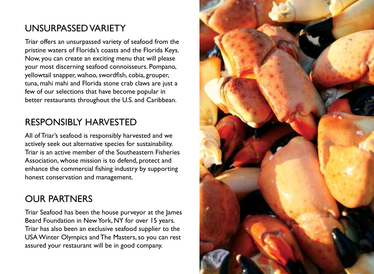### UNSURPASSED VARIETY

Triar offers an unsurpassed variety of seafood from the pristine waters of Florida's coasts and the Florida Keys. Now, you can create an exciting menu that will please your most discerning seafood connoisseurs. Pompano, yellowtail snapper, wahoo, swordfish, cobia, grouper, tuna, mahi mahi and Florida stone crab claws are just a few of our selections that have become popular in better restaurants throughout the U.S. and Caribbean.

#### RESPONSIBLY HARVESTED

All of Triar's seafood is responsibly harvested and we actively seek out alternative species for sustainability. Triar is an active member of the Southeastern Fisheries Association, whose mission is to defend, protect and enhance the commercial fishing industry by supporting honest conservation and management.

#### OUR PARTNERS

Triar Seafood has been the house purveyor at the James Beard Foundation in New York, NY for over 15 years. Triar has also been an exclusive seafood supplier to the USA Winter Olympics and The Masters, so you can rest assured your restaurant will be in good company.

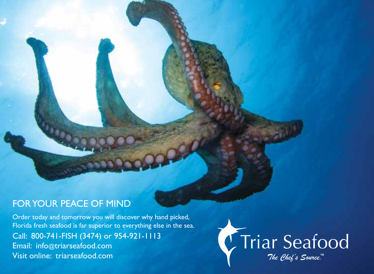#### FOR YOUR PEACE OF MIND

Order today and tomorrow you will discover why hand picked, Florida fresh seafood is far superior to everything else in the sea. Call: 800-741-FISH (3474) or 954-921-1113 Email: info@triarseafood.com Visit online: triarseafood.com

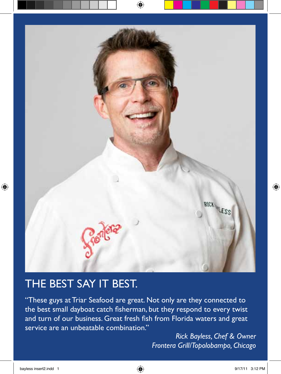

## THE BEST SAY IT BEST.

"These guys at Triar Seafood are great. Not only are they connected to the best small dayboat catch fisherman, but they respond to every twist and turn of our business. Great fresh fish from Florida waters and great service are an unbeatable combination."

> *Rick Bayless, Chef & Owner Frontera Grill/Topolobampo, Chicago*